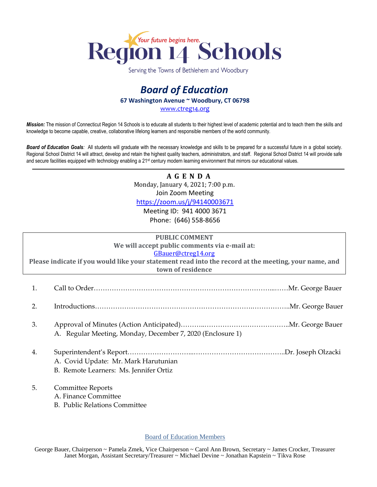

Serving the Towns of Bethlehem and Woodbury

## *Board of Education* **67 Washington Avenue ~ Woodbury, CT 06798**

[www.ctreg14.org](http://www.ctreg14.org/)

*Mission:* The mission of Connecticut Region 14 Schools is to educate all students to their highest level of academic potential and to teach them the skills and knowledge to become capable, creative, collaborative lifelong learners and responsible members of the world community.

*Board of Education Goals:* All students will graduate with the necessary knowledge and skills to be prepared for a successful future in a global society. Regional School District 14 will attract, develop and retain the highest quality teachers, administrators, and staff. Regional School District 14 will provide safe and secure facilities equipped with technology enabling a 21<sup>st</sup> century modern learning environment that mirrors our educational values.

> **A G E N D A** Monday, January 4, 2021; 7:00 p.m. Join Zoom Meeting

<https://zoom.us/j/94140003671>

Meeting ID: 941 4000 3671 Phone: (646) 558-8656

|                                                                                                      | <b>PUBLIC COMMENT</b> |  |  |  |  |  |
|------------------------------------------------------------------------------------------------------|-----------------------|--|--|--|--|--|
| We will accept public comments via e-mail at:                                                        |                       |  |  |  |  |  |
| GBauer@ctreg14.org                                                                                   |                       |  |  |  |  |  |
| Please indicate if you would like your statement read into the record at the meeting, your name, and |                       |  |  |  |  |  |
| town of residence                                                                                    |                       |  |  |  |  |  |
|                                                                                                      |                       |  |  |  |  |  |
|                                                                                                      |                       |  |  |  |  |  |
|                                                                                                      |                       |  |  |  |  |  |

- 2. Introductions…………………………………………………………….……………..Mr. George Bauer
- 3. Approval of Minutes (Action Anticipated)………..………………………………..Mr. George Bauer A. Regular Meeting, Monday, December 7, 2020 (Enclosure 1)
- 4. Superintendent's Report………………………...…………………………………..Dr. Joseph Olzacki A. Covid Update: Mr. Mark Harutunian B. Remote Learners: Ms. Jennifer Ortiz
- 5. Committee Reports

A. Finance Committee

B. Public Relations Committee

Board of Education Members

George Bauer, Chairperson ~ Pamela Zmek, Vice Chairperson ~ Carol Ann Brown, Secretary ~ James Crocker, Treasurer Janet Morgan, Assistant Secretary/Treasurer ~ Michael Devine ~ Jonathan Kapstein ~ Tikva Rose